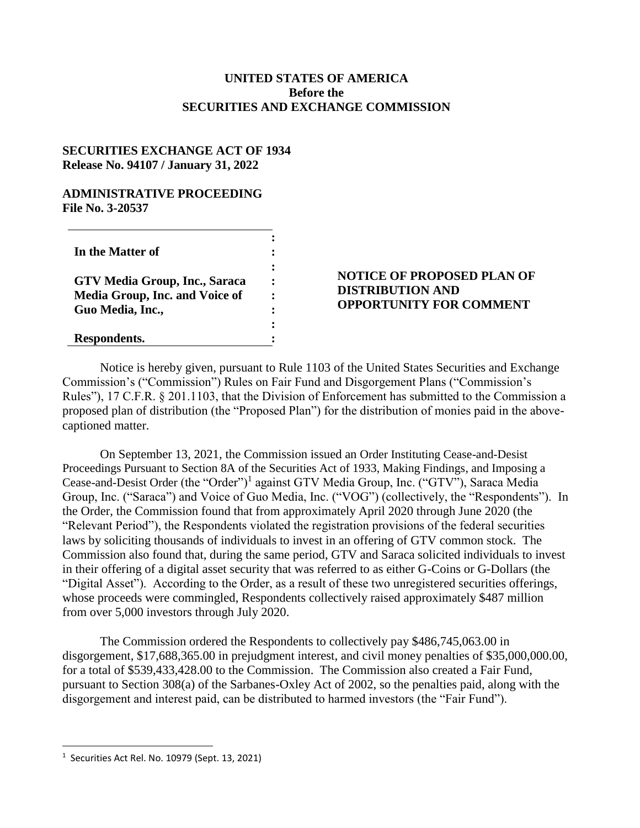## **UNITED STATES OF AMERICA Before the SECURITIES AND EXCHANGE COMMISSION**

## **SECURITIES EXCHANGE ACT OF 1934 Release No. 94107 / January 31, 2022**

#### **ADMINISTRATIVE PROCEEDING File No. 3-20537**

| In the Matter of                      |  |
|---------------------------------------|--|
|                                       |  |
| GTV Media Group, Inc., Saraca         |  |
| <b>Media Group, Inc. and Voice of</b> |  |
| Guo Media, Inc.,                      |  |
|                                       |  |
| Respondents.                          |  |

## **NOTICE OF PROPOSED PLAN OF DISTRIBUTION AND OPPORTUNITY FOR COMMENT**

Notice is hereby given, pursuant to Rule 1103 of the United States Securities and Exchange Commission's ("Commission") Rules on Fair Fund and Disgorgement Plans ("Commission's Rules"), 17 C.F.R. § 201.1103, that the Division of Enforcement has submitted to the Commission a proposed plan of distribution (the "Proposed Plan") for the distribution of monies paid in the abovecaptioned matter.

On September 13, 2021, the Commission issued an Order Instituting Cease-and-Desist Proceedings Pursuant to Section 8A of the Securities Act of 1933, Making Findings, and Imposing a Cease-and-Desist Order (the "Order")<sup>1</sup> against GTV Media Group, Inc. ("GTV"), Saraca Media Group, Inc. ("Saraca") and Voice of Guo Media, Inc. ("VOG") (collectively, the "Respondents"). In the Order, the Commission found that from approximately April 2020 through June 2020 (the "Relevant Period"), the Respondents violated the registration provisions of the federal securities laws by soliciting thousands of individuals to invest in an offering of GTV common stock. The Commission also found that, during the same period, GTV and Saraca solicited individuals to invest in their offering of a digital asset security that was referred to as either G-Coins or G-Dollars (the "Digital Asset"). According to the Order, as a result of these two unregistered securities offerings, whose proceeds were commingled, Respondents collectively raised approximately \$487 million from over 5,000 investors through July 2020.

The Commission ordered the Respondents to collectively pay \$486,745,063.00 in disgorgement, \$17,688,365.00 in prejudgment interest, and civil money penalties of \$35,000,000.00, for a total of \$539,433,428.00 to the Commission. The Commission also created a Fair Fund, pursuant to Section 308(a) of the Sarbanes-Oxley Act of 2002, so the penalties paid, along with the disgorgement and interest paid, can be distributed to harmed investors (the "Fair Fund").

 $\overline{\phantom{a}}$ 

<sup>1</sup> Securities Act Rel. No. 10979 (Sept. 13, 2021)